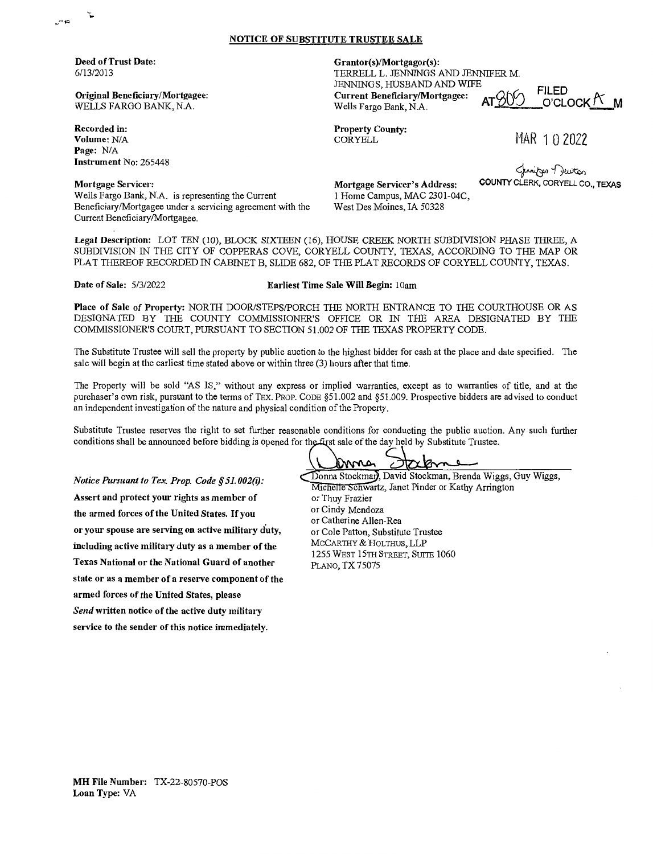## **NOTICE OF SUBSTITUTE TRUSTEE SALE**

**Deed of Trust Date:**  6/13/2013

**Original Beneficiary/Mortgagee:**  WELLS FARGO BANK, NA.

**Recorded** in: **Volume:** NIA Page: N/A **Instrument No:** 265448 **Grantor(s)/Mortgagor(s):** 

TERRELL L. JENNINGS AND JENNIFER M. JENNINGS, HUSBAND AND WIFE **Current Beneficiary/Mortgagee:**  $ATQVO$   $O'CDCK$   $N$  **M** Wells Fargo Bank, N.A.

**Property County:**  CORYELL

MAR 1 0 2022

~-D,.wtcn COUNTY CLERK, CORYELL CO., TEXAS

**Mortgage Servicer:**  Wells Fargo Bank, N.A. is representing the Current Beneficiary/Mortgagee under a servicing agreement with the Current Beneficiary/Mortgagee.

**Mortgage Servicer's Address:**  1 Home Campus, MAC 2301-04C, West Des Moines, IA 50328

**Legal Description:** LOT TEN (10), BLOCK SIXTEEN (16), HOUSE CREEK NORTH SUBDIVISION PHASE THREE, A SUBDIVISION IN THE CITY OF COPPERAS COVE, CORYELL COUNTY, TEXAS, ACCORDING TO THE MAP OR PLAT THEREOF RECORDED IN CABINET B, SLIDE 682, OF THE PLAT RECORDS OF CORYELL COUNTY, TEXAS.

**Date of Sale:** 5/3/2022 **Earliest Time Sale Will Begin:** 1 Oam

**Place of Sale of Property:** NORTH DOOR/STEPS/PORCH THE NORTH ENTRANCE TO THE COURTHOUSE OR AS DESIGNATED BY THE COUNTY COMMISSIONER'S OFFICE OR IN THE AREA DESIGNATED BY THE COMMISSIONER'S COURT, PURSUANT TO SECTION 51.002 OF THE TEXAS PROPERTY CODE.

The Substitute Trustee will sell the property by public auction to the highest bidder for cash at the place and date specified. The sale will begin at the earliest time stated above or within three (3) hours after that time.

The Property will be sold "AS IS," without any express or implied warranties, except as to warranties of title, and at the purchaser's own risk, pursuant to the terms of TEX. PROP. CODE §51.002 and §51.009. Prospective bidders are advised to conduct an independent investigation of the nature and physical condition of the Property.

Substitute Trustee reserves the right to set further reasonable conditions for conducting the public auction. Any such further conditions shall be announced before bidding is opened for the first sale of the day held by Substitute Trustee.

*Notice Pursuant to Tex. Prop. Code§ 51. 002(i):*  **Assert and protect your rights as member of the armed forces of the United States.** If you **or your spouse are serving on active military duty, including active military duty as a member of the Texas National or the National Guard of another state or as a member of a reserve component of the armed forces of the United States, please**  *Send* **written notice of the active duty military service to the sender of this notice immediately.** 

**JTXYOM** Donna Stockman, David Stockman, Brenda Wiggs, Guy Wiggs, Michelle Schwartz, Janet Pinder or Kathy Arrington

or Thuy Frazier or Cindy Mendoza or Catherine Allen-Rea or Cole Patton, Substitute Trustee MCCARTHY & HOLTHUS, LLP 1255 WEST 15TH STREET, SUITE 1060 PLANO, TX75075

**MH File Number:** TX-22-80570-POS **Loan Type:** VA